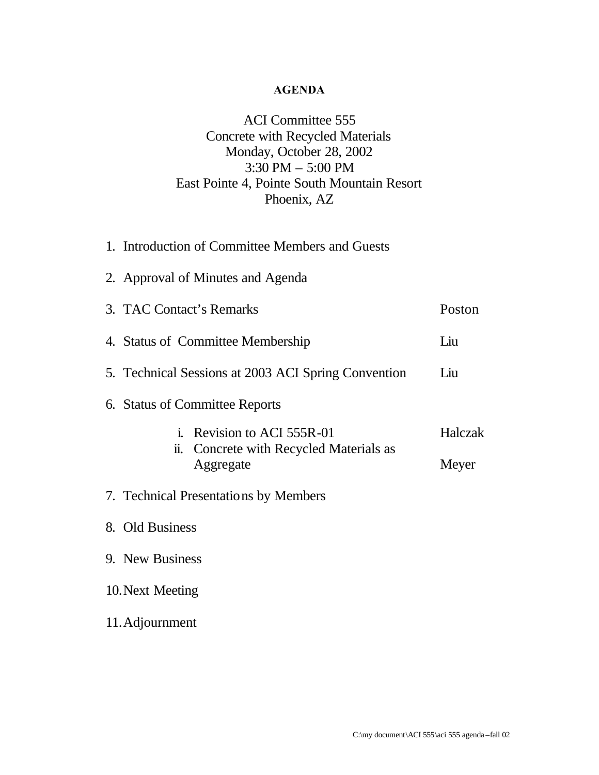## **AGENDA**

# ACI Committee 555 Concrete with Recycled Materials Monday, October 28, 2002 3:30 PM – 5:00 PM East Pointe 4, Pointe South Mountain Resort Phoenix, AZ

|                  | 1. Introduction of Committee Members and Guests                |         |  |  |
|------------------|----------------------------------------------------------------|---------|--|--|
|                  | 2. Approval of Minutes and Agenda                              |         |  |  |
|                  | 3. TAC Contact's Remarks                                       | Poston  |  |  |
|                  | 4. Status of Committee Membership                              | Liu     |  |  |
|                  | 5. Technical Sessions at 2003 ACI Spring Convention            | Liu     |  |  |
|                  | 6. Status of Committee Reports                                 |         |  |  |
|                  | Revision to ACI 555R-01                                        | Halczak |  |  |
|                  | Concrete with Recycled Materials as<br><u>ii.</u><br>Aggregate | Meyer   |  |  |
|                  | 7. Technical Presentations by Members                          |         |  |  |
|                  | 8. Old Business                                                |         |  |  |
|                  | 9. New Business                                                |         |  |  |
| 10. Next Meeting |                                                                |         |  |  |
| 11. Adjournment  |                                                                |         |  |  |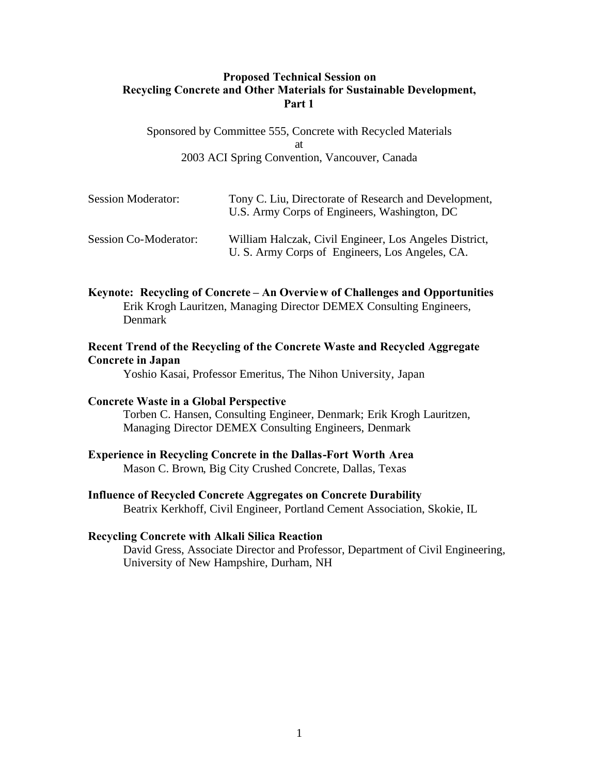## **Proposed Technical Session on Recycling Concrete and Other Materials for Sustainable Development, Part 1**

Sponsored by Committee 555, Concrete with Recycled Materials at 2003 ACI Spring Convention, Vancouver, Canada

| <b>Session Moderator:</b>    | Tony C. Liu, Directorate of Research and Development,<br>U.S. Army Corps of Engineers, Washington, DC     |
|------------------------------|-----------------------------------------------------------------------------------------------------------|
| <b>Session Co-Moderator:</b> | William Halczak, Civil Engineer, Los Angeles District,<br>U. S. Army Corps of Engineers, Los Angeles, CA. |

**Keynote: Recycling of Concrete – An Overview of Challenges and Opportunities** Erik Krogh Lauritzen, Managing Director DEMEX Consulting Engineers, Denmark

## **Recent Trend of the Recycling of the Concrete Waste and Recycled Aggregate Concrete in Japan**

Yoshio Kasai, Professor Emeritus, The Nihon University, Japan

### **Concrete Waste in a Global Perspective**

Torben C. Hansen, Consulting Engineer, Denmark; Erik Krogh Lauritzen, Managing Director DEMEX Consulting Engineers, Denmark

#### **Experience in Recycling Concrete in the Dallas-Fort Worth Area**

Mason C. Brown, Big City Crushed Concrete, Dallas, Texas

## **Influence of Recycled Concrete Aggregates on Concrete Durability** Beatrix Kerkhoff, Civil Engineer, Portland Cement Association, Skokie, IL

### **Recycling Concrete with Alkali Silica Reaction**

David Gress, Associate Director and Professor, Department of Civil Engineering, University of New Hampshire, Durham, NH